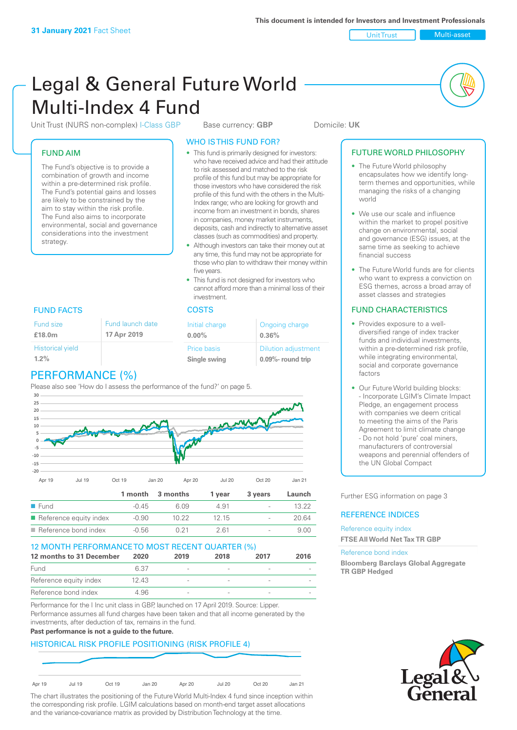Unit Trust Nulti-asset

# Legal & General Future World Multi-Index 4 Fund

Unit Trust (NURS non-complex) I-Class GBP Base currency: **GBP** Domicile: UK

#### FUND AIM

The Fund's objective is to provide a combination of growth and income within a pre-determined risk profile. The Fund's potential gains and losses are likely to be constrained by the aim to stay within the risk profile. The Fund also aims to incorporate environmental, social and governance considerations into the investment strategy.

#### WHO IS THIS FUND FOR?

- This fund is primarily designed for investors: who have received advice and had their attitude to risk assessed and matched to the risk profile of this fund but may be appropriate for those investors who have considered the risk profile of this fund with the others in the Multi-Index range; who are looking for growth and income from an investment in bonds, shares in companies, money market instruments, deposits, cash and indirectly to alternative asset classes (such as commodities) and property.
- Although investors can take their money out at any time, this fund may not be appropriate for those who plan to withdraw their money within five years.
- This fund is not designed for investors who cannot afford more than a minimal loss of their investment.

| Fund launch date | Initial charge              | Ongoing charge                                  |
|------------------|-----------------------------|-------------------------------------------------|
| 17 Apr 2019      | $0.00\%$                    | 0.36%                                           |
|                  | Price basis<br>Single swing | <b>Dilution adjustment</b><br>0.09%- round trip |

### FUND FACTS COSTS

Historical yield

Fund size **£18.0m**

| $1.2\%$         |  |
|-----------------|--|
| PERFORMANCE (%) |  |

Please also see 'How do I assess the performance of the fund?' on page 5.



| $\blacksquare$ Reference bond index   | $-0.56$ | 261    | $\overline{\phantom{a}}$ | 9 NN |
|---------------------------------------|---------|--------|--------------------------|------|
| $\blacksquare$ Reference equity index | $-0.90$ | 12, 15 | $\overline{\phantom{a}}$ | ) 64 |

| 12 MONTH PERFORMANCE TO MOST RECENT QUARTER (%) |       |                          |      |      |      |
|-------------------------------------------------|-------|--------------------------|------|------|------|
| 12 months to 31 December                        | 2020  | 2019                     | 2018 | 2017 | 2016 |
| Fund                                            | 6.37  | $\overline{\phantom{a}}$ |      |      |      |
| Reference equity index                          | 12.43 | $\overline{\phantom{a}}$ |      |      |      |
| Reference bond index                            | 4.96  | $\overline{\phantom{a}}$ |      |      |      |

Performance for the I Inc unit class in GBP, launched on 17 April 2019. Source: Lipper. Performance assumes all fund charges have been taken and that all income generated by the investments, after deduction of tax, remains in the fund.

#### **Past performance is not a guide to the future.**

#### HISTORICAL RISK PROFILE POSITIONING (RISK PROFILE 4)



The chart illustrates the positioning of the Future World Multi-Index 4 fund since inception within the corresponding risk profile. LGIM calculations based on month-end target asset allocations and the variance-covariance matrix as provided by Distribution Technology at the time.

#### FUTURE WORLD PHILOSOPHY

- The Future World philosophy encapsulates how we identify longterm themes and opportunities, while managing the risks of a changing world
- We use our scale and influence within the market to propel positive change on environmental, social and governance (ESG) issues, at the same time as seeking to achieve financial success
- The Future World funds are for clients who want to express a conviction on ESG themes, across a broad array of asset classes and strategies

#### FUND CHARACTERISTICS

- Provides exposure to a welldiversified range of index tracker funds and individual investments, within a pre-determined risk profile while integrating environmental, social and corporate governance factors
- Our Future World building blocks: - Incorporate LGIM's Climate Impact Pledge, an engagement process with companies we deem critical to meeting the aims of the Paris Agreement to limit climate change - Do not hold 'pure' coal miners, manufacturers of controversial weapons and perennial offenders of the UN Global Compact

Further ESG information on page 3

#### REFERENCE INDICES

#### Reference equity index **FTSE All World Net Tax TR GBP**

#### Reference bond index

**Bloomberg Barclays Global Aggregate TR GBP Hedged**

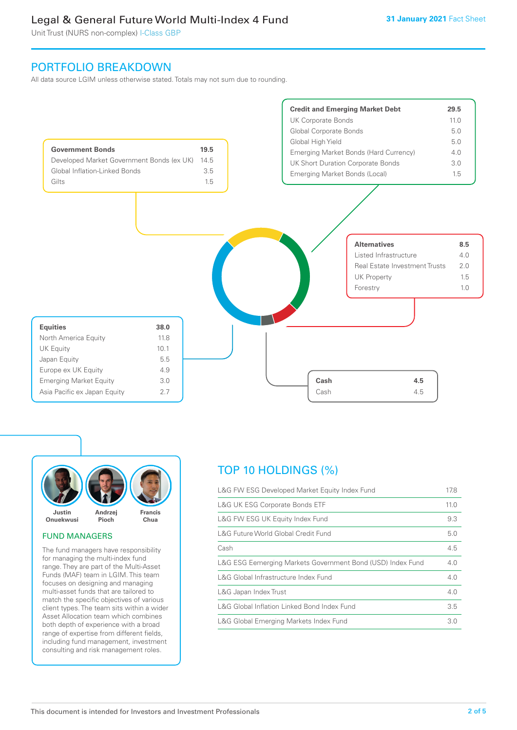Unit Trust (NURS non-complex) I-Class GBP

## PORTFOLIO BREAKDOWN

All data source LGIM unless otherwise stated. Totals may not sum due to rounding.





#### FUND MANAGERS

The fund managers have responsibility for managing the multi-index fund range. They are part of the Multi-Asset Funds (MAF) team in LGIM. This team focuses on designing and managing multi-asset funds that are tailored to match the specific objectives of various client types. The team sits within a wider Asset Allocation team which combines both depth of experience with a broad range of expertise from different fields, including fund management, investment consulting and risk management roles.

# TOP 10 HOLDINGS (%)

| L&G FW ESG Developed Market Equity Index Fund              | 17.8 |
|------------------------------------------------------------|------|
| <b>L&amp;G UK ESG Corporate Bonds ETF</b>                  | 11.0 |
| L&G FW ESG UK Equity Index Fund                            | 9.3  |
| L&G Future World Global Credit Fund                        | 5.0  |
| Cash                                                       | 4.5  |
| L&G ESG Eemerging Markets Government Bond (USD) Index Fund | 4.0  |
| L&G Global Infrastructure Index Fund                       | 4.0  |
| L&G Japan Index Trust                                      | 4.0  |
| L&G Global Inflation Linked Bond Index Fund                | 3.5  |
| L&G Global Emerging Markets Index Fund                     | 3.0  |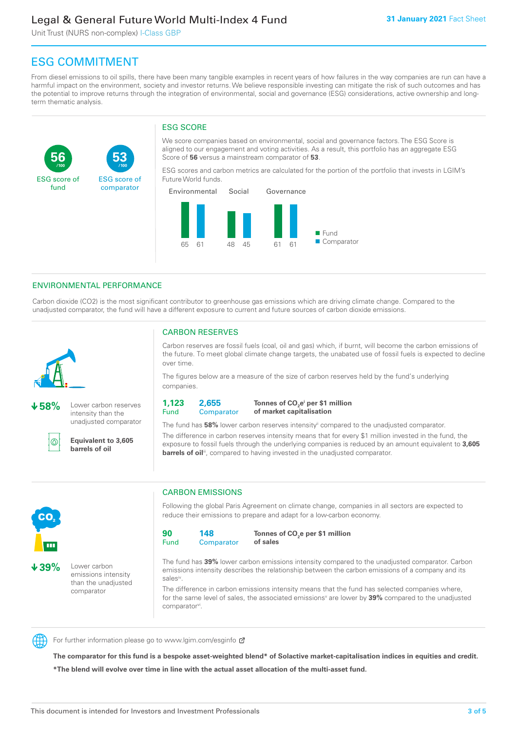Unit Trust (NURS non-complex) I-Class GBP

**53**

ESG score of comparator

# ESG COMMITMENT

**/100 /100**

From diesel emissions to oil spills, there have been many tangible examples in recent years of how failures in the way companies are run can have a harmful impact on the environment, society and investor returns. We believe responsible investing can mitigate the risk of such outcomes and has the potential to improve returns through the integration of environmental, social and governance (ESG) considerations, active ownership and longterm thematic analysis.

#### ESG SCORE

We score companies based on environmental, social and governance factors. The ESG Score is aligned to our engagement and voting activities. As a result, this portfolio has an aggregate ESG Score of **56** versus a mainstream comparator of **53**.

ESG scores and carbon metrics are calculated for the portion of the portfolio that invests in LGIM's Future World funds.



#### ENVIRONMENTAL PERFORMANCE

Carbon dioxide (CO2) is the most significant contributor to greenhouse gas emissions which are driving climate change. Compared to the unadjusted comparator, the fund will have a different exposure to current and future sources of carbon dioxide emissions.



**56**

ESG score of fund

**58%** Lower carbon reserves intensity than the unadjusted comparator

൹

CO<sub>2</sub>

**39%** Lower carbon

emissions intensity than the unadjusted comparator

**Equivalent to 3,605 barrels of oil**

#### CARBON RESERVES

Carbon reserves are fossil fuels (coal, oil and gas) which, if burnt, will become the carbon emissions of the future. To meet global climate change targets, the unabated use of fossil fuels is expected to decline over time.

The figures below are a measure of the size of carbon reserves held by the fund's underlying companies.

**1,123** Fund **2,655 Comparator** 

**Tonnes of CO2 ei per \$1 million of market capitalisation**

The fund has **58%** lower carbon reserves intensityii compared to the unadjusted comparator. The difference in carbon reserves intensity means that for every \$1 million invested in the fund, the exposure to fossil fuels through the underlying companies is reduced by an amount equivalent to **3,605 barrels of oil**<sup>iii</sup>, compared to having invested in the unadjusted comparator.

### CARBON EMISSIONS

Following the global Paris Agreement on climate change, companies in all sectors are expected to reduce their emissions to prepare and adapt for a low-carbon economy.



**Tonnes of CO2 e per \$1 million of sales**

The fund has **39%** lower carbon emissions intensity compared to the unadjusted comparator. Carbon emissions intensity describes the relationship between the carbon emissions of a company and its salesiv

The difference in carbon emissions intensity means that the fund has selected companies where, for the same level of sales, the associated emissions<sup>v</sup> are lower by 39% compared to the unadjusted comparator<sup>vi</sup>.



For further information please go to www.lgim.com/esginfo Ø

**The comparator for this fund is a bespoke asset-weighted blend\* of Solactive market-capitalisation indices in equities and credit. \*The blend will evolve over time in line with the actual asset allocation of the multi-asset fund.**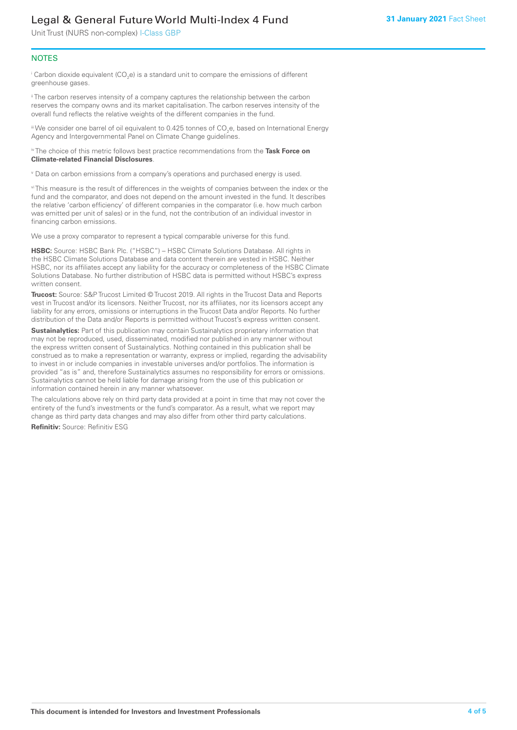Unit Trust (NURS non-complex) I-Class GBP

#### **NOTES**

 $^\mathrm{i}$  Carbon dioxide equivalent (CO<sub>2</sub>e) is a standard unit to compare the emissions of different greenhouse gases.

<sup>ii</sup> The carbon reserves intensity of a company captures the relationship between the carbon reserves the company owns and its market capitalisation. The carbon reserves intensity of the overall fund reflects the relative weights of the different companies in the fund.

iii We consider one barrel of oil equivalent to 0.425 tonnes of CO<sub>2</sub>e, based on International Energy Agency and Intergovernmental Panel on Climate Change guidelines.

#### iv The choice of this metric follows best practice recommendations from the **Task Force on Climate-related Financial Disclosures**.

v Data on carbon emissions from a company's operations and purchased energy is used.

vi This measure is the result of differences in the weights of companies between the index or the fund and the comparator, and does not depend on the amount invested in the fund. It describes the relative 'carbon efficiency' of different companies in the comparator (i.e. how much carbon was emitted per unit of sales) or in the fund, not the contribution of an individual investor in financing carbon emissions.

We use a proxy comparator to represent a typical comparable universe for this fund.

**HSBC:** Source: HSBC Bank Plc. ("HSBC") – HSBC Climate Solutions Database. All rights in the HSBC Climate Solutions Database and data content therein are vested in HSBC. Neither HSBC, nor its affiliates accept any liability for the accuracy or completeness of the HSBC Climate Solutions Database. No further distribution of HSBC data is permitted without HSBC's express written consent.

**Trucost:** Source: S&P Trucost Limited © Trucost 2019. All rights in the Trucost Data and Reports vest in Trucost and/or its licensors. Neither Trucost, nor its affiliates, nor its licensors accept any liability for any errors, omissions or interruptions in the Trucost Data and/or Reports. No further distribution of the Data and/or Reports is permitted without Trucost's express written consent.

**Sustainalytics:** Part of this publication may contain Sustainalytics proprietary information that may not be reproduced, used, disseminated, modified nor published in any manner without the express written consent of Sustainalytics. Nothing contained in this publication shall be construed as to make a representation or warranty, express or implied, regarding the advisability to invest in or include companies in investable universes and/or portfolios. The information is provided "as is" and, therefore Sustainalytics assumes no responsibility for errors or omissions. Sustainalytics cannot be held liable for damage arising from the use of this publication or information contained herein in any manner whatsoever.

The calculations above rely on third party data provided at a point in time that may not cover the entirety of the fund's investments or the fund's comparator. As a result, what we report may change as third party data changes and may also differ from other third party calculations.

**Refinitiv:** Source: Refinitiv ESG